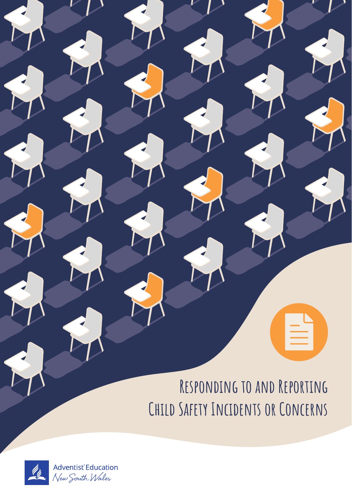# **Responding to and Reporting Child Safety Incidents or Concerns**

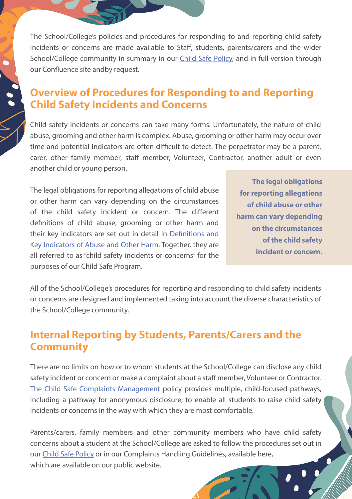The School/College's policies and procedures for responding to and reporting child safety incidents or concerns are made available to Staff, students, parents/carers and the wider School/College community in summary in our Child Safe Policy, and in full version through our Confluence site andby request.

#### Overview of Procedures for Responding to and Reporting Child Safety Incidents and Concerns

Child safety incidents or concerns can take many forms. Unfortunately, the nature of child abuse, grooming and other harm is complex. Abuse, grooming or other harm may occur over time and potential indicators are often difficult to detect. The perpetrator may be a parent, carer, other family member, staff member, Volunteer, Contractor, another adult or even another child or young person.

The legal obligations for reporting allegations of child abuse or other harm can vary depending on the circumstances of the child safety incident or concern. The different definitions of child abuse, grooming or other harm and their key indicators are set out in detail in Definitions and Key Indicators of Abuse and Other Harm. Together, they are all referred to as "child safety incidents or concerns" for the purposes of our Child Safe Program.

**The legal obligations for reporting allegations of child abuse or other harm can vary depending on the circumstances of the child safety incident or concern.**

All of the School/College's procedures for reporting and responding to child safety incidents or concerns are designed and implemented taking into account the diverse characteristics of the School/College community.

#### Internal Reporting by Students, Parents/Carers and the **Community**

There are no limits on how or to whom students at the School/College can disclose any child safety incident or concern or make a complaint about a staff member, Volunteer or Contractor. The Child Safe Complaints Management policy provides multiple, child-focused pathways, including a pathway for anonymous disclosure, to enable all students to raise child safety incidents or concerns in the way with which they are most comfortable.

Parents/carers, family members and other community members who have child safety concerns about a student at the School/College are asked to follow the procedures set out in our Child Safe Policy or in our Complaints Handling Guidelines, available here, which are available on our public website.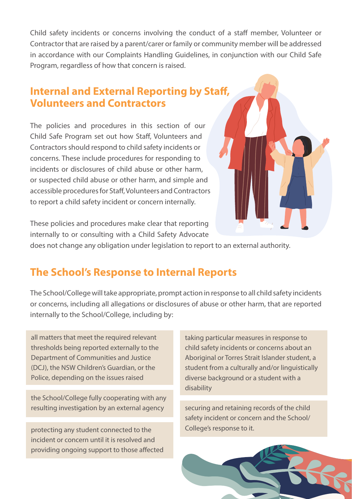Child safety incidents or concerns involving the conduct of a staff member, Volunteer or Contractor that are raised by a parent/carer or family or community member will be addressed in accordance with our Complaints Handling Guidelines, in conjunction with our Child Safe Program, regardless of how that concern is raised.

## Internal and External Reporting by Staff, Volunteers and Contractors

The policies and procedures in this section of our Child Safe Program set out how Staff, Volunteers and Contractors should respond to child safety incidents or concerns. These include procedures for responding to incidents or disclosures of child abuse or other harm, or suspected child abuse or other harm, and simple and accessible procedures for Staff, Volunteers and Contractors to report a child safety incident or concern internally.



These policies and procedures make clear that reporting internally to or consulting with a Child Safety Advocate

does not change any obligation under legislation to report to an external authority.

## The School's Response to Internal Reports

The School/College will take appropriate, prompt action in response to all child safety incidents or concerns, including all allegations or disclosures of abuse or other harm, that are reported internally to the School/College, including by:

all matters that meet the required relevant thresholds being reported externally to the Department of Communities and Justice (DCJ), the NSW Children's Guardian, or the Police, depending on the issues raised

the School/College fully cooperating with any resulting investigation by an external agency

protecting any student connected to the incident or concern until it is resolved and providing ongoing support to those affected taking particular measures in response to child safety incidents or concerns about an Aboriginal or Torres Strait Islander student, a student from a culturally and/or linguistically diverse background or a student with a disability

securing and retaining records of the child safety incident or concern and the School/ College's response to it.